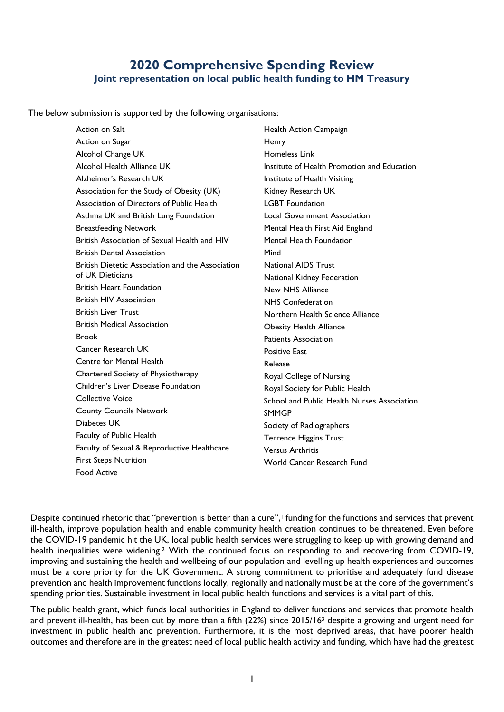## **2020 Comprehensive Spending Review Joint representation on local public health funding to HM Treasury**

The below submission is supported by the following organisations:

Action on Salt Action on Sugar Alcohol Change UK Alcohol Health Alliance UK Alzheimer's Research UK Association for the Study of Obesity (UK) Association of Directors of Public Health Asthma UK and British Lung Foundation Breastfeeding Network British Association of Sexual Health and HIV British Dental Association British Dietetic Association and the Association of UK Dieticians British Heart Foundation British HIV Association British Liver Trust British Medical Association Brook Cancer Research UK Centre for Mental Health Chartered Society of Physiotherapy Children's Liver Disease Foundation Collective Voice County Councils Network Diabetes UK Faculty of Public Health Faculty of Sexual & Reproductive Healthcare First Steps Nutrition Food Active Health Action Campaign **Henry** Homeless Link Institute of Health Promotion and Education Institute of Health Visiting Kidney Research UK LGBT Foundation Local Government Association Mental Health First Aid England Mental Health Foundation Mind National AIDS Trust National Kidney Federation New NHS Alliance NHS Confederation Northern Health Science Alliance Obesity Health Alliance Patients Association Positive East Release Royal College of Nursing Royal Society for Public Health School and Public Health Nurses Association **SMMGP** Society of Radiographers Terrence Higgins Trust Versus Arthritis World Cancer Research Fund

Despite continued rhetoric that "prevention is better than a cure",<sup>1</sup> funding for the functions and services that prevent ill-health, improve population health and enable community health creation continues to be threatened. Even before the COVID-19 pandemic hit the UK, local public health services were struggling to keep up with growing demand and health inequalities were widening.<sup>2</sup> With the continued focus on responding to and recovering from COVID-19, improving and sustaining the health and wellbeing of our population and levelling up health experiences and outcomes must be a core priority for the UK Government. A strong commitment to prioritise and adequately fund disease prevention and health improvement functions locally, regionally and nationally must be at the core of the government's spending priorities. Sustainable investment in local public health functions and services is a vital part of this.

<span id="page-0-0"></span>The public health grant, which funds local authorities in England to deliver functions and services that promote health and prevent ill-health, has been cut by more than a fifth (22%) since 2015/16<sup>3</sup> despite a growing and urgent need for investment in public health and prevention. Furthermore, it is the most deprived areas, that have poorer health outcomes and therefore are in the greatest need of local public health activity and funding, which have had the greatest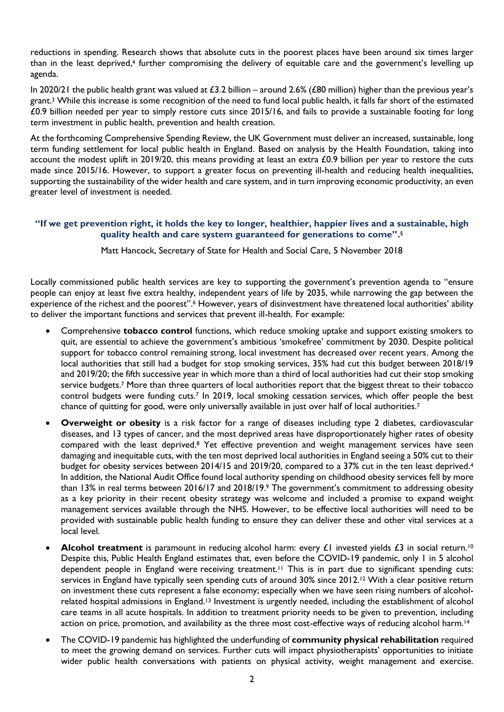<span id="page-1-1"></span>reductions in spending. Research shows that absolute cuts in the poorest places have been around six times larger than in the least deprived,<sup>4</sup> further compromising the delivery of equitable care and the government's levelling up agenda.

In 2020/21 the public health grant was valued at £3.2 billion – around 2.6% (£80 million) higher than the previous year's grant[.](#page-0-0) <sup>3</sup> While this increase is some recognition of the need to fund local public health, it falls far short of the estimated £0.9 billion needed per year to simply restore cuts since 2015/16, and fails to provide a sustainable footing for long term investment in public health, prevention and health creation.

At the forthcoming Comprehensive Spending Review, the UK Government must deliver an increased, sustainable, long term funding settlement for local public health in England. Based on analysis by the Health Foundation, taking into account the modest uplift in 2019/20, this means providing at least an extra £0.9 billion per year to restore the cuts made since 2015/16. However, to support a greater focus on preventing ill-health and reducing health inequalities, supporting the sustainability of the wider health and care system, and in turn improving economic productivity, an even greater level of investment is needed.

## **"If we get prevention right, it holds the key to longer, healthier, happier lives and a sustainable, high quality health and care system guaranteed for generations to come". 5**

Matt Hancock, Secretary of State for Health and Social Care, 5 November 2018

Locally commissioned public health services are key to supporting the government's prevention agenda to "ensure people can enjoy at least five extra healthy, independent years of life by 2035, while narrowing the gap between the experience of the richest and the poorest".<sup>6</sup> However, years of disinvestment have threatened local authorities' ability to deliver the important functions and services that prevent ill-health. For example:

- Comprehensive **tobacco control** functions, which reduce smoking uptake and support existing smokers to quit, are essential to achieve the government's ambitious 'smokefree' commitment by 2030. Despite political support for tobacco control remaining strong, local investment has decreased over recent years. Among the local authorities that still had a budget for stop smoking services, 35% had cut this budget between 2018/19 and 2019/20; the fifth successive year in which more than a third of local authorities had cut their stop smoking service budgets.<sup>7</sup> More than three quarters of local authorities report that the biggest threat to their tobacco control budgets were funding cut[s.](#page-1-0)<sup>7</sup> In 2019, local smoking cessation services, which offer people the best chance of quitting for good, were only universally available in just over half of local authoritie[s.](#page-1-0)<sup>7</sup>
- <span id="page-1-0"></span>**Overweight or obesity** is a risk factor for a range of diseases including type 2 diabetes, cardiovascular diseases, and 13 types of cancer, and the most deprived areas have disproportionately higher rates of obesity compared with the least deprived. <sup>8</sup> Yet effective prevention and weight management services have seen damaging and inequitable cuts, with the ten most deprived local authorities in England seeing a 50% cut to their budget for obesity services between 201[4](#page-1-1)/15 and 2019/20, compared to a 37% cut in the ten least deprived.<sup>4</sup> In addition, the National Audit Office found local authority spending on childhood obesity services fell by more than 13% in real terms between 2016/17 and 2018/19.<sup>9</sup> The government's commitment to addressing obesity as a key priority in their recent obesity strategy was welcome and included a promise to expand weight management services available through the NHS. However, to be effective local authorities will need to be provided with sustainable public health funding to ensure they can deliver these and other vital services at a local level.
- **Alcohol treatment** is paramount in reducing alcohol harm: every £1 invested yields £3 in social return.<sup>10</sup> Despite this, Public Health England estimates that, even before the COVID-19 pandemic, only 1 in 5 alcohol dependent people in England were receiving treatment.<sup>11</sup> This is in part due to significant spending cuts: services in England have typically seen spending cuts of around 30% since 2012.<sup>12</sup> With a clear positive return on investment these cuts represent a false economy; especially when we have seen rising numbers of alcoholrelated hospital admissions in England.<sup>13</sup> Investment is urgently needed, including the establishment of alcohol care teams in all acute hospitals. In addition to treatment priority needs to be given to prevention, including action on price, promotion, and availability as the three most cost-effective ways of reducing alcohol harm.<sup>14</sup>
- The COVID-19 pandemic has highlighted the underfunding of **community physical rehabilitation** required to meet the growing demand on services. Further cuts will impact physiotherapists' opportunities to initiate wider public health conversations with patients on physical activity, weight management and exercise.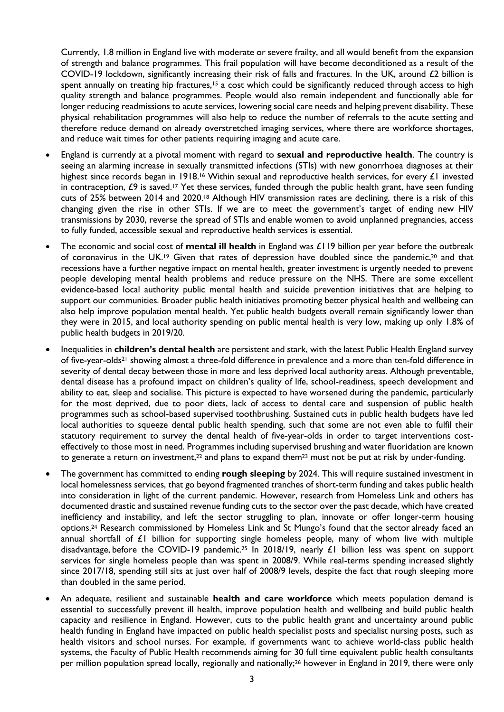Currently, 1.8 million in England live with moderate or severe frailty, and all would benefit from the expansion of strength and balance programmes. This frail population will have become deconditioned as a result of the COVID-19 lockdown, significantly increasing their risk of falls and fractures. In the UK, around £2 billion is spent annually on treating hip fractures,<sup>15</sup> a cost which could be significantly reduced through access to high quality strength and balance programmes. People would also remain independent and functionally able for longer reducing readmissions to acute services, lowering social care needs and helping prevent disability. These physical rehabilitation programmes will also help to reduce the number of referrals to the acute setting and therefore reduce demand on already overstretched imaging services, where there are workforce shortages, and reduce wait times for other patients requiring imaging and acute care.

- England is currently at a pivotal moment with regard to **sexual and reproductive health**. The country is seeing an alarming increase in sexually transmitted infections (STIs) with new gonorrhoea diagnoses at their highest since records began in 1918.<sup>16</sup> Within sexual and reproductive health services, for every  $\pounds$ I invested in contraception, £9 is saved.<sup>17</sup> Yet these services, funded through the public health grant, have seen funding cuts of 25% between 2014 and 2020.<sup>18</sup> Although HIV transmission rates are declining, there is a risk of this changing given the rise in other STIs. If we are to meet the government's target of ending new HIV transmissions by 2030, reverse the spread of STIs and enable women to avoid unplanned pregnancies, access to fully funded, accessible sexual and reproductive health services is essential.
- The economic and social cost of **mental ill health** in England was £119 billion per year before the outbreak of coronavirus in the UK.<sup>19</sup> Given that rates of depression have doubled since the pandemic,<sup>20</sup> and that recessions have a further negative impact on mental health, greater investment is urgently needed to prevent people developing mental health problems and reduce pressure on the NHS. There are some excellent evidence-based local authority public mental health and suicide prevention initiatives that are helping to support our communities. Broader public health initiatives promoting better physical health and wellbeing can also help improve population mental health. Yet public health budgets overall remain significantly lower than they were in 2015, and local authority spending on public mental health is very low, making up only 1.8% of public health budgets in 2019/20.
- Inequalities in **children's dental health** are persistent and stark, with the latest Public Health England survey of five-year-olds<sup>21</sup> showing almost a three-fold difference in prevalence and a more than ten-fold difference in severity of dental decay between those in more and less deprived local authority areas. Although preventable, dental disease has a profound impact on children's quality of life, school-readiness, speech development and ability to eat, sleep and socialise. This picture is expected to have worsened during the pandemic, particularly for the most deprived, due to poor diets, lack of access to dental care and suspension of public health programmes such as school-based supervised toothbrushing. Sustained cuts in public health budgets have led local authorities to squeeze dental public health spending, such that some are not even able to fulfil their statutory requirement to survey the dental health of five-year-olds in order to target interventions costeffectively to those most in need. Programmes including supervised brushing and water fluoridation are known to generate a return on investment,<sup>22</sup> and plans to expand them<sup>23</sup> must not be put at risk by under-funding.
- The government has committed to ending **rough sleeping** by 2024. This will require sustained investment in local homelessness services, that go beyond fragmented tranches of short-term funding and takes public health into consideration in light of the current pandemic. However, research from Homeless Link and others has documented drastic and sustained revenue funding cuts to the sector over the past decade, which have created inefficiency and instability, and left the sector struggling to plan, innovate or offer longer-term housing options.<sup>24</sup> Research commissioned by Homeless Link and St Mungo's found that the sector already faced an annual shortfall of £1 billion for supporting single homeless people, many of whom live with multiple disadvantage, before the COVID-19 pandemic.<sup>25</sup> In 2018/19, nearly £1 billion less was spent on support services for single homeless people than was spent in 2008/9. While real-terms spending increased slightly since 2017/18, spending still sits at just over half of 2008/9 levels, despite the fact that rough sleeping more than doubled in the same period.
- An adequate, resilient and sustainable **health and care workforce** which meets population demand is essential to successfully prevent ill health, improve population health and wellbeing and build public health capacity and resilience in England. However, cuts to the public health grant and uncertainty around public health funding in England have impacted on public health specialist posts and specialist nursing posts, such as health visitors and school nurses. For example, if governments want to achieve world-class public health systems, the Faculty of Public Health recommends aiming for 30 full time equivalent public health consultants per million population spread locally, regionally and nationally;<sup>26</sup> however in England in 2019, there were only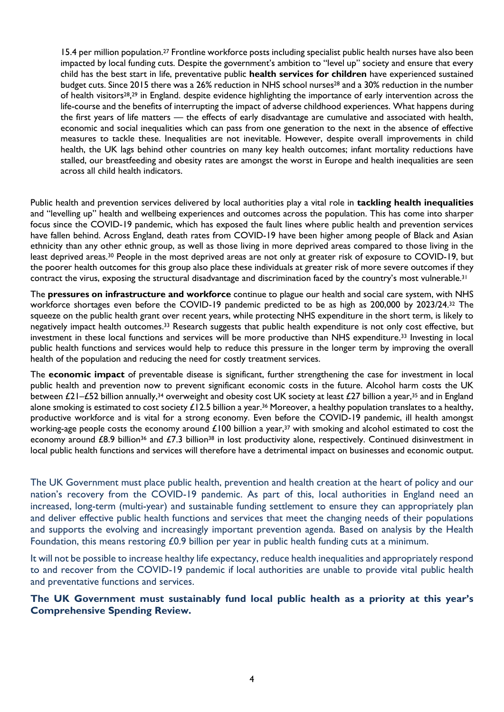<span id="page-3-0"></span>15.4 per million population.<sup>27</sup> Frontline workforce posts including specialist public health nurses have also been impacted by local funding cuts. Despite the government's ambition to "level up" society and ensure that every child has the best start in life, preventative public **health services for children** have experienced sustained budget cuts. Since 2015 there was a 26% reduction in NHS school nurses<sup>28</sup> and a 30% reduction in the number of health visitors<sup>[28](#page-3-0)</sup>,<sup>29</sup> in England. despite evidence highlighting the importance of early intervention across the life-course and the benefits of interrupting the impact of adverse childhood experiences. What happens during the first years of life matters — the effects of early disadvantage are cumulative and associated with health, economic and social inequalities which can pass from one generation to the next in the absence of effective measures to tackle these. Inequalities are not inevitable. However, despite overall improvements in child health, the UK lags behind other countries on many key health outcomes; infant mortality reductions have stalled, our breastfeeding and obesity rates are amongst the worst in Europe and health inequalities are seen across all child health indicators.

Public health and prevention services delivered by local authorities play a vital role in **tackling health inequalities** and "levelling up" health and wellbeing experiences and outcomes across the population. This has come into sharper focus since the COVID-19 pandemic, which has exposed the fault lines where public health and prevention services have fallen behind. Across England, death rates from COVID-19 have been higher among people of Black and Asian ethnicity than any other ethnic group, as well as those living in more deprived areas compared to those living in the least deprived areas.<sup>30</sup> People in the most deprived areas are not only at greater risk of exposure to COVID-19, but the poorer health outcomes for this group also place these individuals at greater risk of more severe outcomes if they contract the virus, exposing the structural disadvantage and discrimination faced by the country's most vulnerable.<sup>31</sup>

<span id="page-3-1"></span>The **pressures on infrastructure and workforce** continue to plague our health and social care system, with NHS workforce shortages even before the COVID-19 pandemic predicted to be as high as 200,000 by 2023/24. <sup>32</sup> The squeeze on the public health grant over recent years, while protecting NHS expenditure in the short term, is likely to negatively impact health outcomes.<sup>33</sup> Research suggests that public health expenditure is not only cost effective, but investment in these local functions and services will be more productive than NHS expenditure. [33](#page-3-1) Investing in local public health functions and services would help to reduce this pressure in the longer term by improving the overall health of the population and reducing the need for costly treatment services.

<span id="page-3-2"></span>The **economic impact** of preventable disease is significant, further strengthening the case for investment in local public health and prevention now to prevent significant economic costs in the future. Alcohol harm costs the UK between £21–£52 billion annually,<sup>34</sup> overweight and obesity cost UK society at least £27 billion a year,<sup>35</sup> and in England alone smoking is estimated to cost society  $\pounds$ 12.5 billion a year.<sup>36</sup> Moreover, a healthy population translates to a healthy, productive workforce and is vital for a strong economy. Even before the COVID-19 pandemic, ill health amongst working-age people costs the economy around  $£100$  billion a year,<sup>37</sup> with smoking and alcohol estimated to cost the economy around £8.9 billion<sup>[36](#page-3-2)</sup> and £7.3 billion<sup>38</sup> in lost productivity alone, respectively. Continued disinvestment in local public health functions and services will therefore have a detrimental impact on businesses and economic output.

The UK Government must place public health, prevention and health creation at the heart of policy and our nation's recovery from the COVID-19 pandemic. As part of this, local authorities in England need an increased, long-term (multi-year) and sustainable funding settlement to ensure they can appropriately plan and deliver effective public health functions and services that meet the changing needs of their populations and supports the evolving and increasingly important prevention agenda. Based on analysis by the Health Foundation, this means restoring £0.9 billion per year in public health funding cuts at a minimum.

It will not be possible to increase healthy life expectancy, reduce health inequalities and appropriately respond to and recover from the COVID-19 pandemic if local authorities are unable to provide vital public health and preventative functions and services.

## **The UK Government must sustainably fund local public health as a priority at this year's Comprehensive Spending Review.**